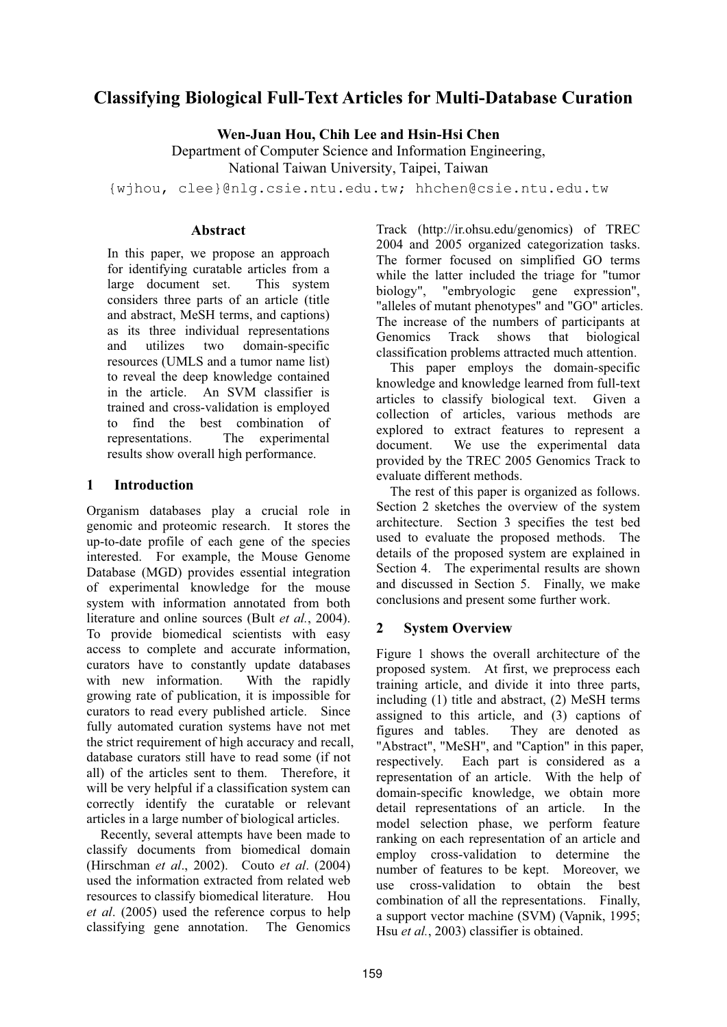# **Classifying Biological Full-Text Articles for Multi-Database Curation**

**Wen-Juan Hou, Chih Lee and Hsin-Hsi Chen**

Department of Computer Science and Information Engineering, National Taiwan University, Taipei, Taiwan

{wjhou, clee}@nlg.csie.ntu.edu.tw; hhchen@csie.ntu.edu.tw

#### **Abstract**

In this paper, we propose an approach for identifying curatable articles from a large document set. This system considers three parts of an article (title and abstract, MeSH terms, and captions) as its three individual representations and utilizes two domain-specific resources (UMLS and a tumor name list) to reveal the deep knowledge contained in the article. An SVM classifier is trained and cross-validation is employed to find the best combination of representations. The experimental results show overall high performance.

### **1 Introduction**

Organism databases play a crucial role in genomic and proteomic research. It stores the up-to-date profile of each gene of the species interested. For example, the Mouse Genome Database (MGD) provides essential integration of experimental knowledge for the mouse system with information annotated from both literature and online sources (Bult *et al.*, 2004). To provide biomedical scientists with easy access to complete and accurate information, curators have to constantly update databases with new information. With the rapidly growing rate of publication, it is impossible for curators to read every published article. Since fully automated curation systems have not met the strict requirement of high accuracy and recall, database curators still have to read some (if not all) of the articles sent to them. Therefore, it will be very helpful if a classification system can correctly identify the curatable or relevant articles in a large number of biological articles.

Recently, several attempts have been made to classify documents from biomedical domain (Hirschman *et al*., 2002). Couto *et al*. (2004) used the information extracted from related web resources to classify biomedical literature. Hou *et al*. (2005) used the reference corpus to help classifying gene annotation. The Genomics Track (http://ir.ohsu.edu/genomics) of TREC 2004 and 2005 organized categorization tasks. The former focused on simplified GO terms while the latter included the triage for "tumor biology", "embryologic gene expression", "alleles of mutant phenotypes" and "GO" articles. The increase of the numbers of participants at<br>Genomics Track shows that biological Genomics Track shows that biological classification problems attracted much attention.

This paper employs the domain-specific knowledge and knowledge learned from full-text articles to classify biological text. Given a collection of articles, various methods are explored to extract features to represent a document. We use the experimental data provided by the TREC 2005 Genomics Track to evaluate different methods.

The rest of this paper is organized as follows. Section 2 sketches the overview of the system architecture. Section 3 specifies the test bed used to evaluate the proposed methods. The details of the proposed system are explained in Section 4. The experimental results are shown and discussed in Section 5. Finally, we make conclusions and present some further work.

# **2 System Overview**

Figure 1 shows the overall architecture of the proposed system. At first, we preprocess each training article, and divide it into three parts, including (1) title and abstract, (2) MeSH terms assigned to this article, and (3) captions of figures and tables. They are denoted as "Abstract", "MeSH", and "Caption" in this paper, respectively. Each part is considered as a representation of an article. With the help of domain-specific knowledge, we obtain more detail representations of an article. In the model selection phase, we perform feature ranking on each representation of an article and employ cross-validation to determine the number of features to be kept. Moreover, we use cross-validation to obtain the best combination of all the representations. Finally, a support vector machine (SVM) (Vapnik, 1995; Hsu *et al.*, 2003) classifier is obtained.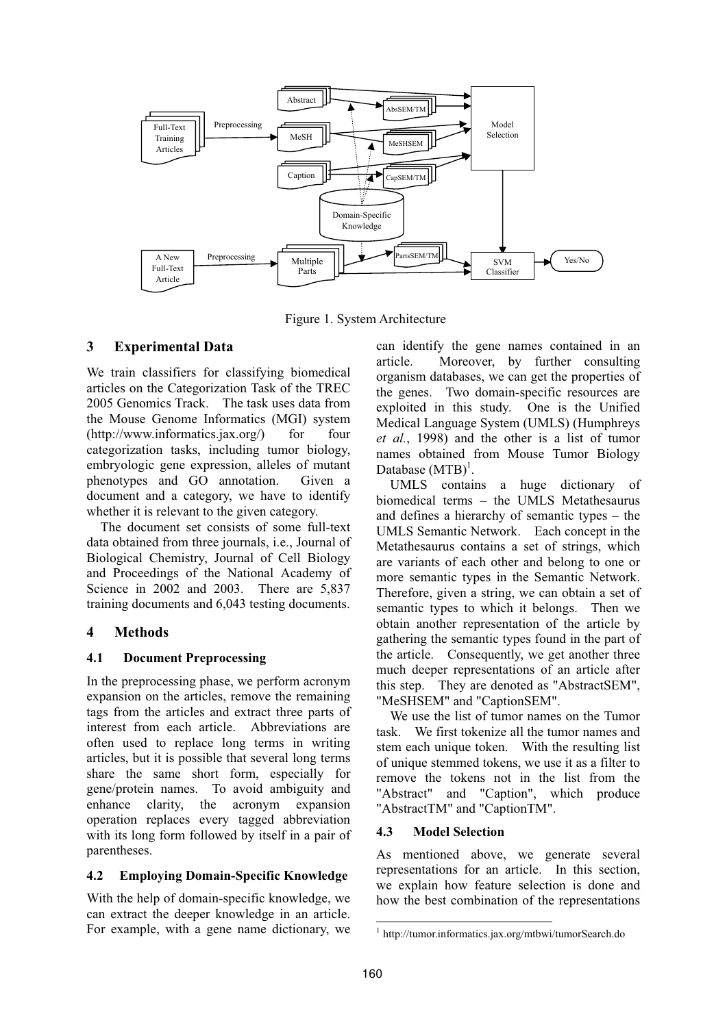

Figure 1. System Architecture

## **3 Experimental Data**

We train classifiers for classifying biomedical articles on the Categorization Task of the TREC 2005 Genomics Track. The task uses data from the Mouse Genome Informatics (MGI) system  $(http://www.informatics.java.org/)$  for four categorization tasks, including tumor biology, embryologic gene expression, alleles of mutant phenotypes and GO annotation. Given a document and a category, we have to identify whether it is relevant to the given category.

The document set consists of some full-text data obtained from three journals, i.e., Journal of Biological Chemistry, Journal of Cell Biology and Proceedings of the National Academy of Science in 2002 and 2003. There are 5,837 training documents and 6,043 testing documents.

# **4 Methods**

### **4.1 Document Preprocessing**

In the preprocessing phase, we perform acronym expansion on the articles, remove the remaining tags from the articles and extract three parts of interest from each article. Abbreviations are often used to replace long terms in writing articles, but it is possible that several long terms share the same short form, especially for gene/protein names. To avoid ambiguity and enhance clarity, the acronym expansion operation replaces every tagged abbreviation with its long form followed by itself in a pair of parentheses.

### **4.2 Employing Domain-Specific Knowledge**

With the help of domain-specific knowledge, we can extract the deeper knowledge in an article. For example, with a gene name dictionary, we can identify the gene names contained in an article. Moreover, by further consulting organism databases, we can get the properties of the genes. Two domain-specific resources are exploited in this study. One is the Unified Medical Language System (UMLS) (Humphreys *et al.*, 1998) and the other is a list of tumor names obtained from Mouse Tumor Biology Database  $(MTB)^1$ .

UMLS contains a huge dictionary of biomedical terms – the UMLS Metathesaurus and defines a hierarchy of semantic types – the UMLS Semantic Network. Each concept in the Metathesaurus contains a set of strings, which are variants of each other and belong to one or more semantic types in the Semantic Network. Therefore, given a string, we can obtain a set of semantic types to which it belongs. Then we obtain another representation of the article by gathering the semantic types found in the part of the article. Consequently, we get another three much deeper representations of an article after this step. They are denoted as "AbstractSEM", "MeSHSEM" and "CaptionSEM".

We use the list of tumor names on the Tumor task. We first tokenize all the tumor names and stem each unique token. With the resulting list of unique stemmed tokens, we use it as a filter to remove the tokens not in the list from the "Abstract" and "Caption", which produce "AbstractTM" and "CaptionTM".

### **4.3 Model Selection**

As mentioned above, we generate several representations for an article. In this section, we explain how feature selection is done and how the best combination of the representations

<sup>1</sup> http://tumor.informatics.jax.org/mtbwi/tumorSearch.do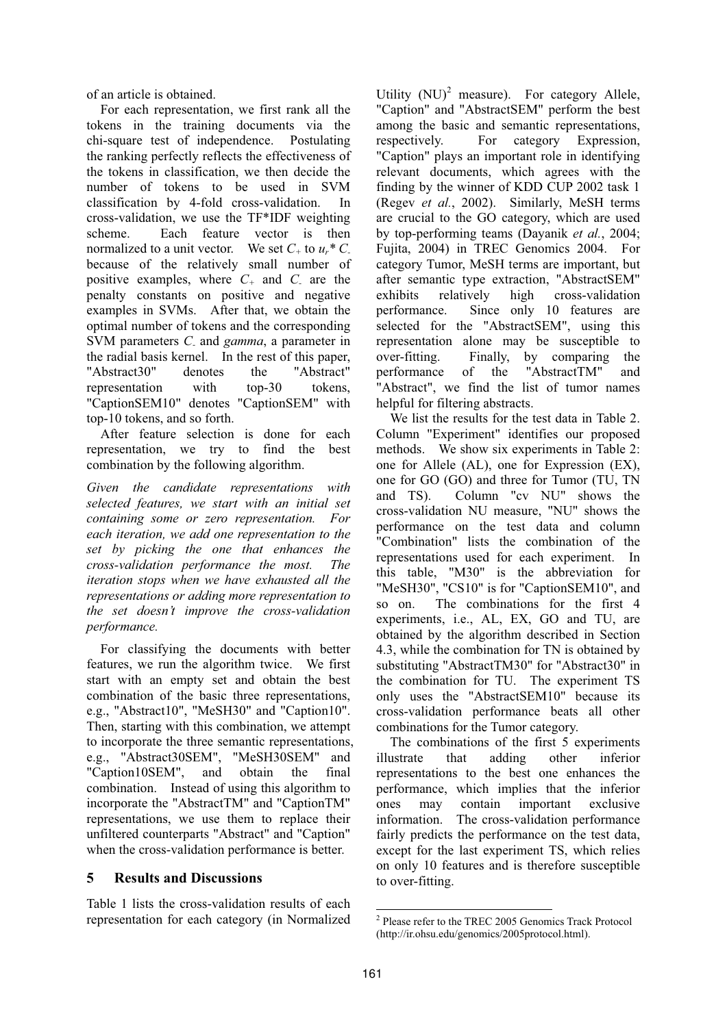of an article is obtained.

For each representation, we first rank all the tokens in the training documents via the chi-square test of independence. Postulating the ranking perfectly reflects the effectiveness of the tokens in classification, we then decide the number of tokens to be used in SVM classification by 4-fold cross-validation. In cross-validation, we use the TF\*IDF weighting scheme. Each feature vector is then normalized to a unit vector. We set  $C_+$  to  $u^* C$ because of the relatively small number of positive examples, where  $C_+$  and  $C_-$  are the penalty constants on positive and negative examples in SVMs. After that, we obtain the optimal number of tokens and the corresponding SVM parameters *C-* and *gamma*, a parameter in the radial basis kernel. In the rest of this paper, "Abstract30" denotes the "Abstract" representation with top-30 tokens, "CaptionSEM10" denotes "CaptionSEM" with top-10 tokens, and so forth.

After feature selection is done for each representation, we try to find the best combination by the following algorithm.

*Given the candidate representations with selected features, we start with an initial set containing some or zero representation. For each iteration, we add one representation to the set by picking the one that enhances the cross-validation performance the most. The iteration stops when we have exhausted all the representations or adding more representation to the set doesn't improve the cross-validation performance.* 

For classifying the documents with better features, we run the algorithm twice. We first start with an empty set and obtain the best combination of the basic three representations, e.g., "Abstract10", "MeSH30" and "Caption10". Then, starting with this combination, we attempt to incorporate the three semantic representations, e.g., "Abstract30SEM", "MeSH30SEM" and "Caption10SEM", and obtain the final combination. Instead of using this algorithm to incorporate the "AbstractTM" and "CaptionTM" representations, we use them to replace their unfiltered counterparts "Abstract" and "Caption" when the cross-validation performance is better.

### **5 Results and Discussions**

Table 1 lists the cross-validation results of each representation for each category (in Normalized

Utility  $(NU)^2$  measure). For category Allele, "Caption" and "AbstractSEM" perform the best among the basic and semantic representations, respectively. For category Expression, "Caption" plays an important role in identifying relevant documents, which agrees with the finding by the winner of KDD CUP 2002 task 1 (Regev *et al.*, 2002). Similarly, MeSH terms are crucial to the GO category, which are used by top-performing teams (Dayanik *et al.*, 2004; Fujita, 2004) in TREC Genomics 2004. For category Tumor, MeSH terms are important, but after semantic type extraction, "AbstractSEM" exhibits relatively high cross-validation performance. Since only 10 features are selected for the "AbstractSEM", using this representation alone may be susceptible to over-fitting. Finally, by comparing the performance of the "AbstractTM" and "Abstract", we find the list of tumor names helpful for filtering abstracts.

We list the results for the test data in Table 2. Column "Experiment" identifies our proposed methods. We show six experiments in Table 2: one for Allele (AL), one for Expression (EX), one for GO (GO) and three for Tumor (TU, TN and TS). Column "cv NU" shows the cross-validation NU measure, "NU" shows the performance on the test data and column "Combination" lists the combination of the representations used for each experiment. In this table, "M30" is the abbreviation for "MeSH30", "CS10" is for "CaptionSEM10", and so on. The combinations for the first 4 experiments, i.e., AL, EX, GO and TU, are obtained by the algorithm described in Section 4.3, while the combination for TN is obtained by substituting "AbstractTM30" for "Abstract30" in the combination for TU. The experiment TS only uses the "AbstractSEM10" because its cross-validation performance beats all other combinations for the Tumor category.

The combinations of the first 5 experiments illustrate that adding other inferior representations to the best one enhances the performance, which implies that the inferior ones may contain important exclusive information. The cross-validation performance fairly predicts the performance on the test data, except for the last experiment TS, which relies on only 10 features and is therefore susceptible to over-fitting.

 $\overline{a}$ 

<sup>2</sup> Please refer to the TREC 2005 Genomics Track Protocol (http://ir.ohsu.edu/genomics/2005protocol.html).